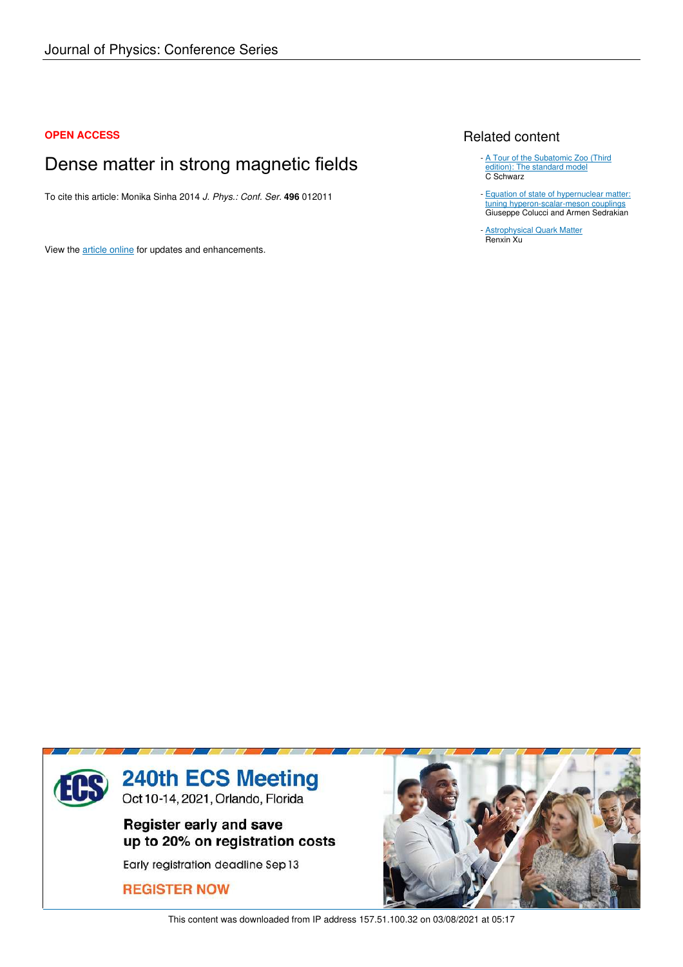## **OPEN ACCESS**

# Dense matter in strong magnetic fields

To cite this article: Monika Sinha 2014 *J. Phys.: Conf. Ser.* **496** 012011

View the article online for updates and enhancements.

# Related content

- A Tour of the Subatomic Zoo (Third edition): The standard model C Schwarz
- **Equation of state of hypernuclear matter:** tuning hyperon-scalar-meson couplings Giuseppe Colucci and Armen Sedrakian

Astrophysical Quark Matter Renxin Xu -



This content was downloaded from IP address 157.51.100.32 on 03/08/2021 at 05:17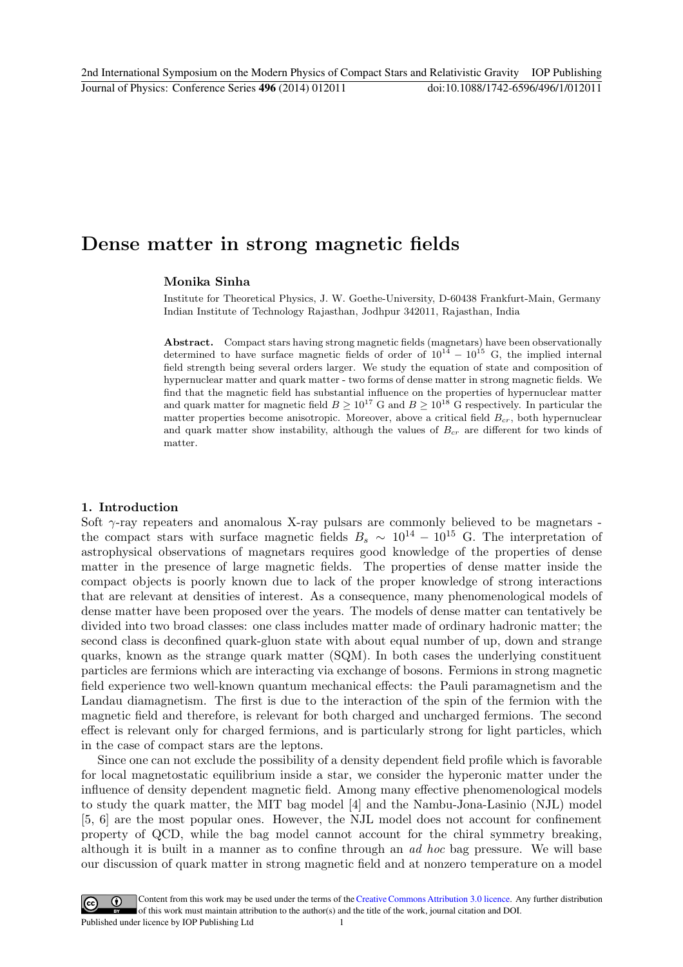# Dense matter in strong magnetic fields

### Monika Sinha

Institute for Theoretical Physics, J. W. Goethe-University, D-60438 Frankfurt-Main, Germany Indian Institute of Technology Rajasthan, Jodhpur 342011, Rajasthan, India

Abstract. Compact stars having strong magnetic fields (magnetars) have been observationally determined to have surface magnetic fields of order of  $10^{14} - 10^{15}$  G, the implied internal field strength being several orders larger. We study the equation of state and composition of hypernuclear matter and quark matter - two forms of dense matter in strong magnetic fields. We find that the magnetic field has substantial influence on the properties of hypernuclear matter and quark matter for magnetic field  $B \geq 10^{17}$  G and  $B \geq 10^{18}$  G respectively. In particular the matter properties become anisotropic. Moreover, above a critical field  $B_{cr}$ , both hypernuclear and quark matter show instability, although the values of  $B_{cr}$  are different for two kinds of matter.

#### 1. Introduction

Soft  $\gamma$ -ray repeaters and anomalous X-ray pulsars are commonly believed to be magnetars the compact stars with surface magnetic fields  $B_s \sim 10^{14} - 10^{15}$  G. The interpretation of astrophysical observations of magnetars requires good knowledge of the properties of dense matter in the presence of large magnetic fields. The properties of dense matter inside the compact objects is poorly known due to lack of the proper knowledge of strong interactions that are relevant at densities of interest. As a consequence, many phenomenological models of dense matter have been proposed over the years. The models of dense matter can tentatively be divided into two broad classes: one class includes matter made of ordinary hadronic matter; the second class is deconfined quark-gluon state with about equal number of up, down and strange quarks, known as the strange quark matter (SQM). In both cases the underlying constituent particles are fermions which are interacting via exchange of bosons. Fermions in strong magnetic field experience two well-known quantum mechanical effects: the Pauli paramagnetism and the Landau diamagnetism. The first is due to the interaction of the spin of the fermion with the magnetic field and therefore, is relevant for both charged and uncharged fermions. The second effect is relevant only for charged fermions, and is particularly strong for light particles, which in the case of compact stars are the leptons.

Since one can not exclude the possibility of a density dependent field profile which is favorable for local magnetostatic equilibrium inside a star, we consider the hyperonic matter under the influence of density dependent magnetic field. Among many effective phenomenological models to study the quark matter, the MIT bag model [4] and the Nambu-Jona-Lasinio (NJL) model [5, 6] are the most popular ones. However, the NJL model does not account for confinement property of QCD, while the bag model cannot account for the chiral symmetry breaking, although it is built in a manner as to confine through an ad hoc bag pressure. We will base our discussion of quark matter in strong magnetic field and at nonzero temperature on a model

Content from this work may be used under the terms of the Creative Commons Attribution 3.0 licence. Any further distribution  $(cc)$ of this work must maintain attribution to the author(s) and the title of the work, journal citation and DOI. Published under licence by IOP Publishing Ltd 1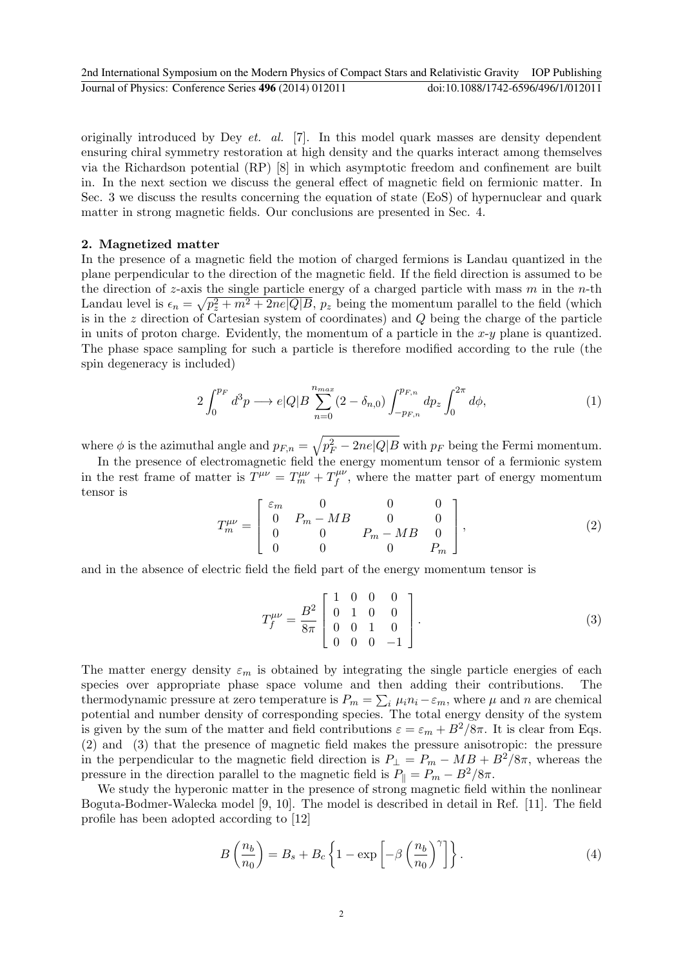originally introduced by Dey et. al. [7]. In this model quark masses are density dependent ensuring chiral symmetry restoration at high density and the quarks interact among themselves via the Richardson potential (RP) [8] in which asymptotic freedom and confinement are built in. In the next section we discuss the general effect of magnetic field on fermionic matter. In Sec. 3 we discuss the results concerning the equation of state (EoS) of hypernuclear and quark matter in strong magnetic fields. Our conclusions are presented in Sec. 4.

#### 2. Magnetized matter

In the presence of a magnetic field the motion of charged fermions is Landau quantized in the plane perpendicular to the direction of the magnetic field. If the field direction is assumed to be the direction of z-axis the single particle energy of a charged particle with mass  $m$  in the n-th Landau level is  $\epsilon_n = \sqrt{p_z^2 + m^2 + 2ne|Q|B}$ ,  $p_z$  being the momentum parallel to the field (which is in the  $z$  direction of Cartesian system of coordinates) and  $Q$  being the charge of the particle in units of proton charge. Evidently, the momentum of a particle in the  $x-y$  plane is quantized. The phase space sampling for such a particle is therefore modified according to the rule (the spin degeneracy is included)

$$
2\int_0^{p_F} d^3p \longrightarrow e|Q|B \sum_{n=0}^{n_{max}} (2-\delta_{n,0}) \int_{-p_{F,n}}^{p_{F,n}} dp_z \int_0^{2\pi} d\phi, \tag{1}
$$

where  $\phi$  is the azimuthal angle and  $p_{F,n} = \sqrt{p_F^2 - 2ne|Q|B}$  with  $p_F$  being the Fermi momentum.

In the presence of electromagnetic field the energy momentum tensor of a fermionic system in the rest frame of matter is  $\widetilde{T}^{\mu\nu} = T^{\mu\nu}_m + T^{\mu\nu}_f$  $f_f^{\mu\nu}$ , where the matter part of energy momentum tensor is

$$
T_m^{\mu\nu} = \begin{bmatrix} \varepsilon_m & 0 & 0 & 0 \\ 0 & P_m - MB & 0 & 0 \\ 0 & 0 & P_m - MB & 0 \\ 0 & 0 & 0 & P_m \end{bmatrix},
$$
(2)

and in the absence of electric field the field part of the energy momentum tensor is

$$
T_f^{\mu\nu} = \frac{B^2}{8\pi} \begin{bmatrix} 1 & 0 & 0 & 0 \\ 0 & 1 & 0 & 0 \\ 0 & 0 & 1 & 0 \\ 0 & 0 & 0 & -1 \end{bmatrix} . \tag{3}
$$

The matter energy density  $\varepsilon_m$  is obtained by integrating the single particle energies of each species over appropriate phase space volume and then adding their contributions. The thermodynamic pressure at zero temperature is  $P_m = \sum_i \mu_i n_i - \varepsilon_m$ , where  $\mu$  and n are chemical potential and number density of corresponding species. The total energy density of the system is given by the sum of the matter and field contributions  $\varepsilon = \varepsilon_m + B^2/8\pi$ . It is clear from Eqs. (2) and (3) that the presence of magnetic field makes the pressure anisotropic: the pressure in the perpendicular to the magnetic field direction is  $P_{\perp} = P_m - MB + B^2/8\pi$ , whereas the pressure in the direction parallel to the magnetic field is  $P_{\parallel} = P_m - B^2/8\pi$ .

We study the hyperonic matter in the presence of strong magnetic field within the nonlinear Boguta-Bodmer-Walecka model [9, 10]. The model is described in detail in Ref. [11]. The field profile has been adopted according to [12]

$$
B\left(\frac{n_b}{n_0}\right) = B_s + B_c \left\{ 1 - \exp\left[ -\beta \left(\frac{n_b}{n_0}\right)^\gamma \right] \right\}.
$$
 (4)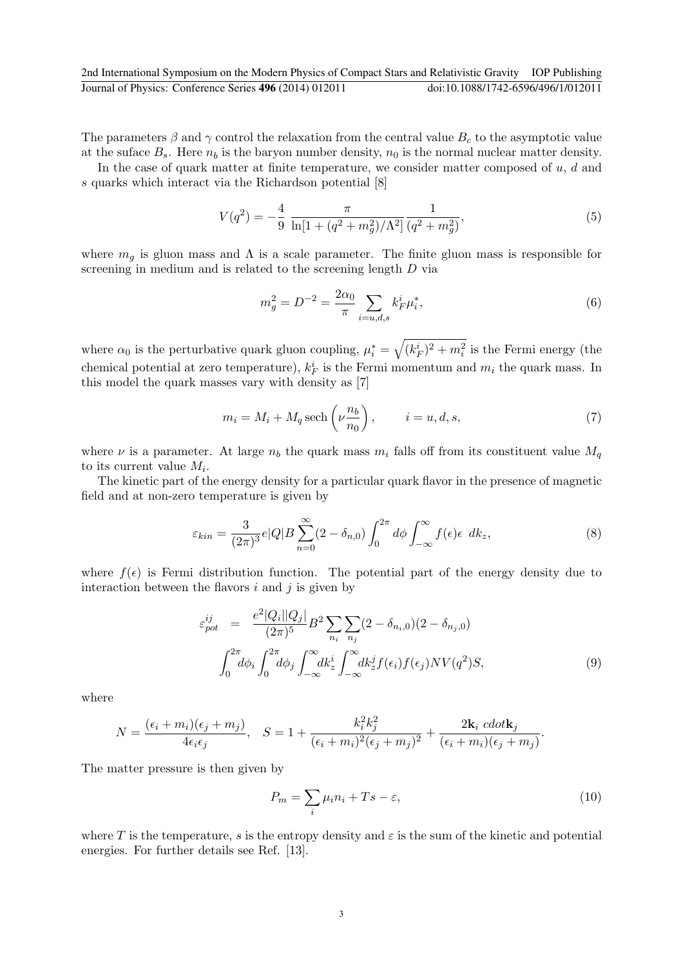2nd International Symposium on the Modern Physics of Compact Stars and Relativistic Gravity IOP Publishing Journal of Physics: Conference Series **496** (2014) 012011 doi:10.1088/1742-6596/496/1/012011

The parameters  $\beta$  and  $\gamma$  control the relaxation from the central value  $B_c$  to the asymptotic value at the suface  $B_s$ . Here  $n_b$  is the baryon number density,  $n_0$  is the normal nuclear matter density.

In the case of quark matter at finite temperature, we consider matter composed of  $u, d$  and s quarks which interact via the Richardson potential [8]

$$
V(q^2) = -\frac{4}{9} \frac{\pi}{\ln[1 + (q^2 + m_g^2)/\Lambda^2]} \frac{1}{(q^2 + m_g^2)},
$$
\n(5)

where  $m<sub>g</sub>$  is gluon mass and  $\Lambda$  is a scale parameter. The finite gluon mass is responsible for screening in medium and is related to the screening length  $D$  via

$$
m_g^2 = D^{-2} = \frac{2\alpha_0}{\pi} \sum_{i=u,d,s} k_F^i \mu_i^*,
$$
\n(6)

where  $\alpha_0$  is the perturbative quark gluon coupling,  $\mu_i^* = \sqrt{(k_F^i)^2 + m_i^2}$  is the Fermi energy (the chemical potential at zero temperature),  $k_F^i$  is the Fermi momentum and  $m_i$  the quark mass. In this model the quark masses vary with density as [7]

$$
m_i = M_i + M_q \operatorname{sech}\left(\nu \frac{n_b}{n_0}\right), \qquad i = u, d, s,\tag{7}
$$

where  $\nu$  is a parameter. At large  $n_b$  the quark mass  $m_i$  falls off from its constituent value  $M_q$ to its current value  $M_i$ .

The kinetic part of the energy density for a particular quark flavor in the presence of magnetic field and at non-zero temperature is given by

$$
\varepsilon_{kin} = \frac{3}{(2\pi)^3} e|Q|B \sum_{n=0}^{\infty} (2 - \delta_{n,0}) \int_0^{2\pi} d\phi \int_{-\infty}^{\infty} f(\epsilon) \epsilon \, dk_z,\tag{8}
$$

where  $f(\epsilon)$  is Fermi distribution function. The potential part of the energy density due to interaction between the flavors  $i$  and  $j$  is given by

$$
\varepsilon_{pot}^{ij} = \frac{e^2 |Q_i||Q_j|}{(2\pi)^5} B^2 \sum_{n_i} \sum_{n_j} (2 - \delta_{n_i,0}) (2 - \delta_{n_j,0})
$$

$$
\int_0^{2\pi} d\phi_i \int_0^{2\pi} d\phi_j \int_{-\infty}^{\infty} dk_z^i \int_{-\infty}^{\infty} dk_z^j f(\epsilon_i) f(\epsilon_j) N V(q^2) S,
$$
(9)

where

$$
N = \frac{(\epsilon_i + m_i)(\epsilon_j + m_j)}{4\epsilon_i \epsilon_j}, \quad S = 1 + \frac{k_i^2 k_j^2}{(\epsilon_i + m_i)^2 (\epsilon_j + m_j)^2} + \frac{2\mathbf{k}_i \cdot \text{cdot} \mathbf{k}_j}{(\epsilon_i + m_i)(\epsilon_j + m_j)}.
$$

The matter pressure is then given by

$$
P_m = \sum_i \mu_i n_i + T_s - \varepsilon,\tag{10}
$$

where T is the temperature, s is the entropy density and  $\varepsilon$  is the sum of the kinetic and potential energies. For further details see Ref. [13].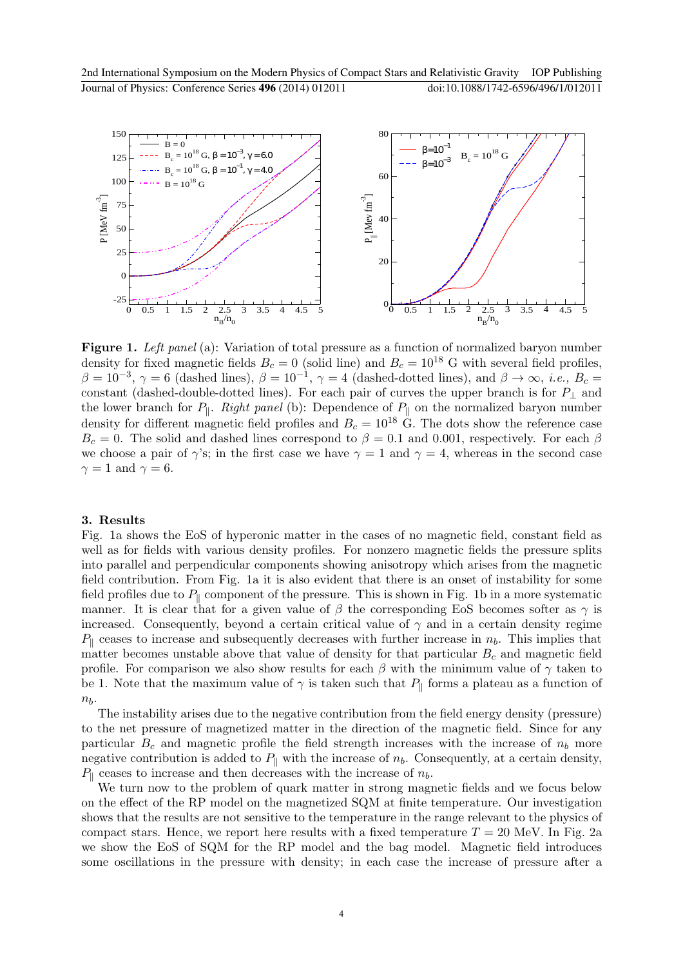

Figure 1. Left panel (a): Variation of total pressure as a function of normalized baryon number density for fixed magnetic fields  $B_c = 0$  (solid line) and  $B_c = 10^{18}$  G with several field profiles,  $\beta = 10^{-3}$ ,  $\gamma = 6$  (dashed lines),  $\beta = 10^{-1}$ ,  $\gamma = 4$  (dashed-dotted lines), and  $\beta \to \infty$ , *i.e.*,  $B_c =$ constant (dashed-double-dotted lines). For each pair of curves the upper branch is for  $P_{\perp}$  and the lower branch for  $P_{\parallel}$ . Right panel (b): Dependence of  $P_{\parallel}$  on the normalized baryon number density for different magnetic field profiles and  $B_c = 10^{18}$  G. The dots show the reference case  $B_c = 0$ . The solid and dashed lines correspond to  $\beta = 0.1$  and 0.001, respectively. For each  $\beta$ we choose a pair of  $\gamma$ 's; in the first case we have  $\gamma = 1$  and  $\gamma = 4$ , whereas in the second case  $\gamma = 1$  and  $\gamma = 6$ .

#### 3. Results

Fig. 1a shows the EoS of hyperonic matter in the cases of no magnetic field, constant field as well as for fields with various density profiles. For nonzero magnetic fields the pressure splits into parallel and perpendicular components showing anisotropy which arises from the magnetic field contribution. From Fig. 1a it is also evident that there is an onset of instability for some field profiles due to  $P_{\parallel}$  component of the pressure. This is shown in Fig. 1b in a more systematic manner. It is clear that for a given value of  $\beta$  the corresponding EoS becomes softer as  $\gamma$  is increased. Consequently, beyond a certain critical value of  $\gamma$  and in a certain density regime  $P_{\parallel}$  ceases to increase and subsequently decreases with further increase in  $n_b$ . This implies that matter becomes unstable above that value of density for that particular  $B<sub>c</sub>$  and magnetic field profile. For comparison we also show results for each  $\beta$  with the minimum value of  $\gamma$  taken to be 1. Note that the maximum value of  $\gamma$  is taken such that  $P_{\parallel}$  forms a plateau as a function of  $n<sub>b</sub>$ .

The instability arises due to the negative contribution from the field energy density (pressure) to the net pressure of magnetized matter in the direction of the magnetic field. Since for any particular  $B_c$  and magnetic profile the field strength increases with the increase of  $n_b$  more negative contribution is added to  $P_{\parallel}$  with the increase of  $n_b$ . Consequently, at a certain density,  $P_{\parallel}$  ceases to increase and then decreases with the increase of  $n_b$ .

We turn now to the problem of quark matter in strong magnetic fields and we focus below on the effect of the RP model on the magnetized SQM at finite temperature. Our investigation shows that the results are not sensitive to the temperature in the range relevant to the physics of compact stars. Hence, we report here results with a fixed temperature  $T = 20$  MeV. In Fig. 2a we show the EoS of SQM for the RP model and the bag model. Magnetic field introduces some oscillations in the pressure with density; in each case the increase of pressure after a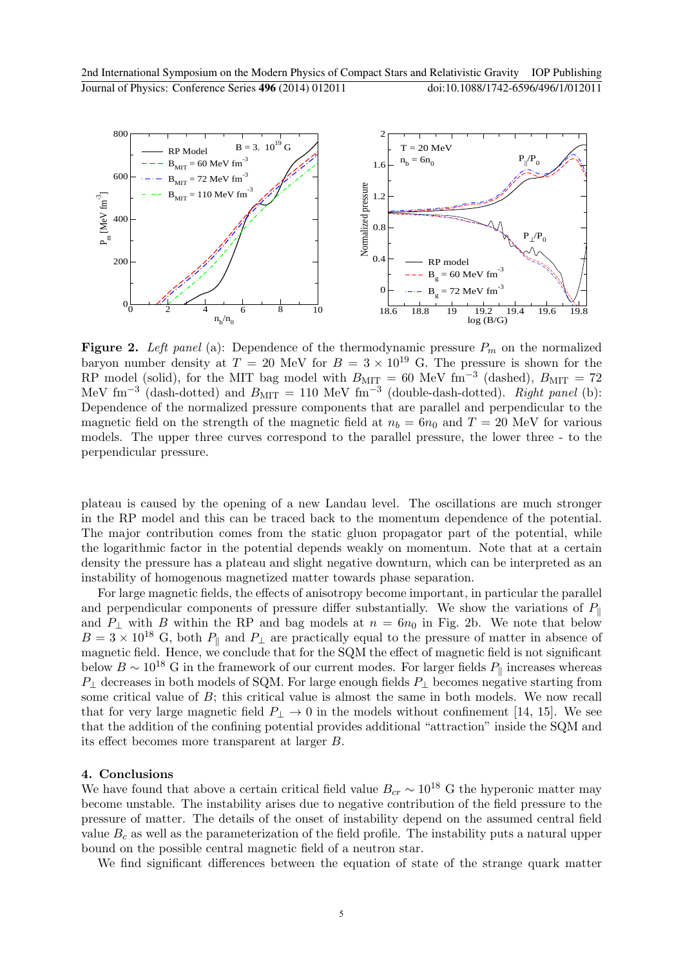

**Figure 2.** Left panel (a): Dependence of the thermodynamic pressure  $P_m$  on the normalized baryon number density at  $T = 20$  MeV for  $B = 3 \times 10^{19}$  G. The pressure is shown for the RP model (solid), for the MIT bag model with  $B_{\text{MIT}} = 60$  MeV fm<sup>-3</sup> (dashed),  $B_{\text{MIT}} = 72$ MeV fm<sup>-3</sup> (dash-dotted) and  $B_{\text{MIT}} = 110$  MeV fm<sup>-3</sup> (double-dash-dotted). Right panel (b): Dependence of the normalized pressure components that are parallel and perpendicular to the magnetic field on the strength of the magnetic field at  $n_b = 6n_0$  and  $T = 20$  MeV for various models. The upper three curves correspond to the parallel pressure, the lower three - to the perpendicular pressure.

plateau is caused by the opening of a new Landau level. The oscillations are much stronger in the RP model and this can be traced back to the momentum dependence of the potential. The major contribution comes from the static gluon propagator part of the potential, while the logarithmic factor in the potential depends weakly on momentum. Note that at a certain density the pressure has a plateau and slight negative downturn, which can be interpreted as an instability of homogenous magnetized matter towards phase separation.

For large magnetic fields, the effects of anisotropy become important, in particular the parallel and perpendicular components of pressure differ substantially. We show the variations of  $P_{\parallel}$ and  $P_{\perp}$  with B within the RP and bag models at  $n = 6n_0$  in Fig. 2b. We note that below  $B = 3 \times 10^{18}$  G, both  $P_{\parallel}$  and  $P_{\perp}$  are practically equal to the pressure of matter in absence of magnetic field. Hence, we conclude that for the SQM the effect of magnetic field is not significant below  $B \sim 10^{18}$  G in the framework of our current modes. For larger fields  $P_{\parallel}$  increases whereas  $P_{\perp}$  decreases in both models of SQM. For large enough fields  $P_{\perp}$  becomes negative starting from some critical value of B; this critical value is almost the same in both models. We now recall that for very large magnetic field  $P_{\perp} \rightarrow 0$  in the models without confinement [14, 15]. We see that the addition of the confining potential provides additional "attraction" inside the SQM and its effect becomes more transparent at larger B.

#### 4. Conclusions

We have found that above a certain critical field value  $B_{cr} \sim 10^{18}$  G the hyperonic matter may become unstable. The instability arises due to negative contribution of the field pressure to the pressure of matter. The details of the onset of instability depend on the assumed central field value  $B<sub>c</sub>$  as well as the parameterization of the field profile. The instability puts a natural upper bound on the possible central magnetic field of a neutron star.

We find significant differences between the equation of state of the strange quark matter